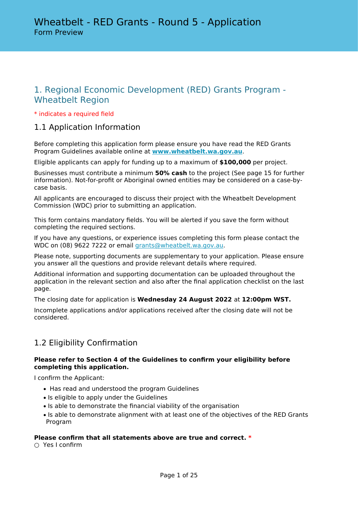# 1. Regional Economic Development (RED) Grants Program - Wheatbelt Region

### \* indicates a required field

# 1.1 Application Information

Before completing this application form please ensure you have read the RED Grants Program Guidelines available online at **[www.wheatbelt.wa.gov.au](https://www.wheatbelt.wa.gov.au/working-us/regional-economic-development-scheme/)**.

Eligible applicants can apply for funding up to a maximum of **\$100,000** per project.

Businesses must contribute a minimum **50% cash** to the project (See page 15 for further information). Not-for-profit or Aboriginal owned entities may be considered on a case-bycase basis.

All applicants are encouraged to discuss their project with the Wheatbelt Development Commission (WDC) prior to submitting an application.

This form contains mandatory fields. You will be alerted if you save the form without completing the required sections.

If you have any questions, or experience issues completing this form please contact the WDC on (08) 9622 7222 or email [grants@wheatbelt.wa.gov.au.](mailto:admin@gsdc.wa.gov.au)

Please note, supporting documents are supplementary to your application. Please ensure you answer all the questions and provide relevant details where required.

Additional information and supporting documentation can be uploaded throughout the application in the relevant section and also after the final application checklist on the last page.

The closing date for application is **Wednesday 24 August 2022** at **12:00pm WST.**

Incomplete applications and/or applications received after the closing date will not be considered.

# 1.2 Eligibility Confirmation

### **Please refer to Section 4 of the Guidelines to confirm your eligibility before completing this application.**

I confirm the Applicant:

- Has read and understood the program Guidelines
- Is eligible to apply under the Guidelines
- Is able to demonstrate the financial viability of the organisation
- Is able to demonstrate alignment with at least one of the objectives of the RED Grants Program

### **Please confirm that all statements above are true and correct. \***

○ Yes I confirm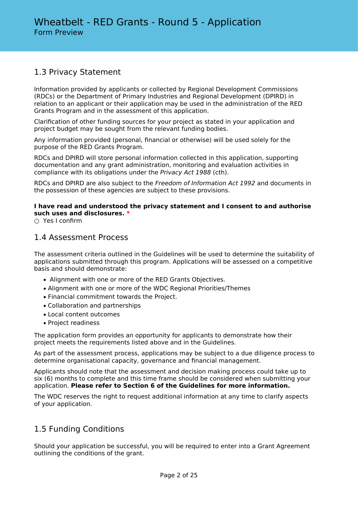# 1.3 Privacy Statement

Information provided by applicants or collected by Regional Development Commissions (RDCs) or the Department of Primary Industries and Regional Development (DPIRD) in relation to an applicant or their application may be used in the administration of the RED Grants Program and in the assessment of this application.

Clarification of other funding sources for your project as stated in your application and project budget may be sought from the relevant funding bodies.

Any information provided (personal, financial or otherwise) will be used solely for the purpose of the RED Grants Program.

RDCs and DPIRD will store personal information collected in this application, supporting documentation and any grant administration, monitoring and evaluation activities in compliance with its obligations under the *Privacy Act 1988* (cth).

RDCs and DPIRD are also subject to the *Freedom of Information Act 1992* and documents in the possession of these agencies are subject to these provisions.

### **I have read and understood the privacy statement and I consent to and authorise such uses and disclosures. \***

 $\cap$  Yes I confirm

# 1.4 Assessment Process

The assessment criteria outlined in the Guidelines will be used to determine the suitability of applications submitted through this program. Applications will be assessed on a competitive basis and should demonstrate:

- Alignment with one or more of the RED Grants Objectives.
- Alignment with one or more of the WDC Regional Priorities/Themes
- Financial commitment towards the Project.
- Collaboration and partnerships
- Local content outcomes
- Project readiness

The application form provides an opportunity for applicants to demonstrate how their project meets the requirements listed above and in the Guidelines.

As part of the assessment process, applications may be subject to a due diligence process to determine organisational capacity, governance and financial management.

Applicants should note that the assessment and decision making process could take up to six (6) months to complete and this time frame should be considered when submitting your application. **Please refer to Section 6 of the Guidelines for more information.**

The WDC reserves the right to request additional information at any time to clarify aspects of your application.

# 1.5 Funding Conditions

Should your application be successful, you will be required to enter into a Grant Agreement outlining the conditions of the grant.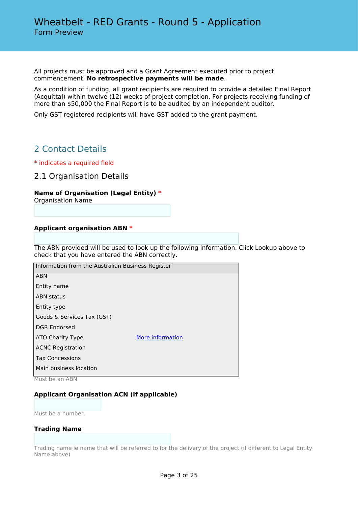All projects must be approved and a Grant Agreement executed prior to project commencement. **No retrospective payments will be made**.

As a condition of funding, all grant recipients are required to provide a detailed Final Report (Acquittal) within twelve (12) weeks of project completion. For projects receiving funding of more than \$50,000 the Final Report is to be audited by an independent auditor.

Only GST registered recipients will have GST added to the grant payment.

# 2 Contact Details

\* indicates a required field

2.1 Organisation Details

### **Name of Organisation (Legal Entity) \***

Organisation Name

### **Applicant organisation ABN \***

The ABN provided will be used to look up the following information. Click Lookup above to check that you have entered the ABN correctly.

| Information from the Australian Business Register |                  |  |  |
|---------------------------------------------------|------------------|--|--|
| <b>ABN</b>                                        |                  |  |  |
| Entity name                                       |                  |  |  |
| <b>ABN status</b>                                 |                  |  |  |
| Entity type                                       |                  |  |  |
| Goods & Services Tax (GST)                        |                  |  |  |
| <b>DGR Endorsed</b>                               |                  |  |  |
| ATO Charity Type                                  | More information |  |  |
| <b>ACNC Registration</b>                          |                  |  |  |
| <b>Tax Concessions</b>                            |                  |  |  |
| Main business location                            |                  |  |  |

Must be an ABN.

### **Applicant Organisation ACN (if applicable)**

Must be a number.

#### **Trading Name**

Trading name ie name that will be referred to for the delivery of the project (if different to Legal Entity Name above)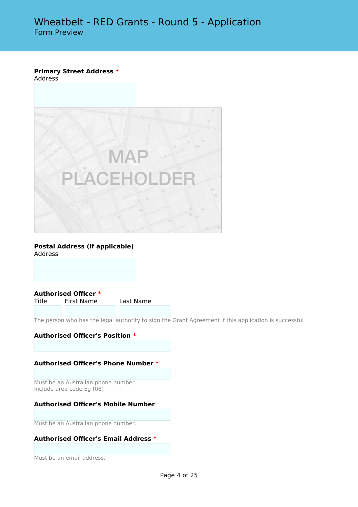# **Primary Street Address \***

Address



#### **Postal Address (if applicable)** Address

**Authorised Officer \***

First Name Last Name

The person who has the legal authority to sign the Grant Agreement if this application is successful

### **Authorised Officer's Position \***

### **Authorised Officer's Phone Number \***

Must be an Australian phone number. Include area code Eg (08)

### **Authorised Officer's Mobile Number**

Must be an Australian phone number.

### **Authorised Officer's Email Address \***

Must be an email address.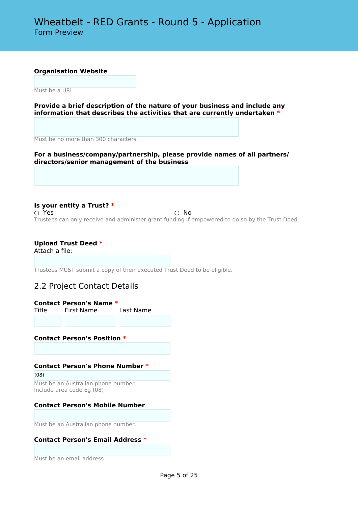#### **Organisation Website**

Must be a URL.

**Provide a brief description of the nature of your business and include any information that describes the activities that are currently undertaken \***

Must be no more than 300 characters.

**For a business/company/partnership, please provide names of all partners/ directors/senior management of the business**

**Is your entity a Trust? \***  $\bigcirc$  Yes  $\bigcirc$  No Trustees can only receive and administer grant funding if empowered to do so by the Trust Deed.

### **Upload Trust Deed \***

Attach a file:

Trustees MUST submit a copy of their executed Trust Deed to be eligible.

### 2.2 Project Contact Details

**Contact Person's Name \***

Title First Name Last Name

### **Contact Person's Position \***

### **Contact Person's Phone Number \***

(08) Must be an Australian phone number. Include area code Eg (08)

### **Contact Person's Mobile Number**

Must be an Australian phone number.

### **Contact Person's Email Address \***

Must be an email address.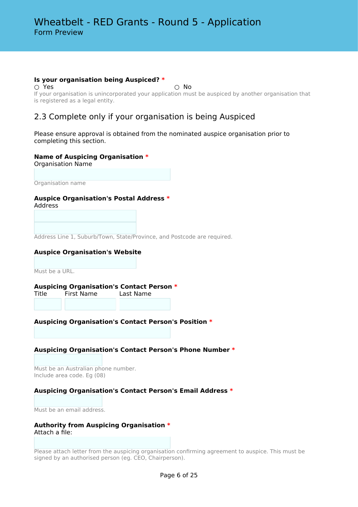### **Is your organisation being Auspiced? \***

 $\bigcirc$  Yes  $\bigcirc$  No If your organisation is unincorporated your application must be auspiced by another organisation that is registered as a legal entity.

### 2.3 Complete only if your organisation is being Auspiced

Please ensure approval is obtained from the nominated auspice organisation prior to completing this section.

### **Name of Auspicing Organisation \***

Organisation Name

Organisation name

### **Auspice Organisation's Postal Address \***

Address

Address Line 1, Suburb/Town, State/Province, and Postcode are required.

### **Auspice Organisation's Website**

Must be a URL.

**Auspicing Organisation's Contact Person \***

Title First Name Last Name

### **Auspicing Organisation's Contact Person's Position \***

### **Auspicing Organisation's Contact Person's Phone Number \***

Must be an Australian phone number. Include area code. Eg (08)

### **Auspicing Organisation's Contact Person's Email Address \***

Must be an email address.

#### **Authority from Auspicing Organisation \*** Attach a file:

Please attach letter from the auspicing organisation confirming agreement to auspice. This must be signed by an authorised person (eg. CEO, Chairperson).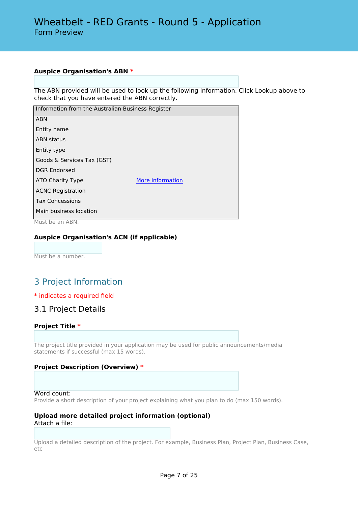### **Auspice Organisation's ABN \***

The ABN provided will be used to look up the following information. Click Lookup above to check that you have entered the ABN correctly.

| Information from the Australian Business Register |                  |  |  |
|---------------------------------------------------|------------------|--|--|
| <b>ABN</b>                                        |                  |  |  |
| Entity name                                       |                  |  |  |
| <b>ABN</b> status                                 |                  |  |  |
| Entity type                                       |                  |  |  |
| Goods & Services Tax (GST)                        |                  |  |  |
| <b>DGR Endorsed</b>                               |                  |  |  |
| ATO Charity Type                                  | More information |  |  |
| <b>ACNC Registration</b>                          |                  |  |  |
| <b>Tax Concessions</b>                            |                  |  |  |
| Main business location                            |                  |  |  |

Must be an ABN.

### **Auspice Organisation's ACN (if applicable)**

Must be a number.

# 3 Project Information

### \* indicates a required field

### 3.1 Project Details

### **Project Title \***

The project title provided in your application may be used for public announcements/media statements if successful (max 15 words).

### **Project Description (Overview) \***

#### Word count:

Provide a short description of your project explaining what you plan to do (max 150 words).

#### **Upload more detailed project information (optional)** Attach a file:

Upload a detailed description of the project. For example, Business Plan, Project Plan, Business Case, etc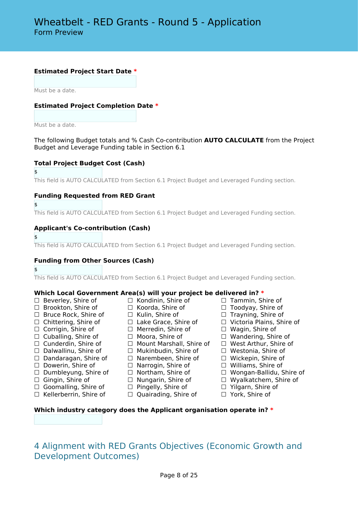### **Estimated Project Start Date \***

Must be a date.

### **Estimated Project Completion Date \***

Must be a date.

The following Budget totals and % Cash Co-contribution **AUTO CALCULATE** from the Project Budget and Leverage Funding table in Section 6.1

### **Total Project Budget Cost (Cash)**

\$

This field is AUTO CALCULATED from Section 6.1 Project Budget and Leveraged Funding section.

#### **Funding Requested from RED Grant**

\$

This field is AUTO CALCULATED from Section 6.1 Project Budget and Leveraged Funding section.

#### **Applicant's Co-contribution (Cash)**

\$

This field is AUTO CALCULATED from Section 6.1 Project Budget and Leveraged Funding section.

### **Funding from Other Sources (Cash)**

\$

This field is AUTO CALCULATED from Section 6.1 Project Budget and Leveraged Funding section.

# **Which Local Government Area(s) will your project be delivered in? \*** <p>□ <i>□</i> <i>□</i> <i>□</i> <i>□</i> <i>□</i> <i>□</i> <i>□</i> <i>□</i> <i>□</i> <i>□</i> <i>□</i> <i>□</i> <i>□</i> <i>□</i> <i>□</i> <i>□</i> <i>□</i> <i>□</i> <i>□</i> <i>□</i> <i>□</i> <i>□</i> <i>□</i> <i>□</i> <i>□</i> <i>□</i> <i>□</i> <i>□</i> <i>□</i> <i>□</i> <i>□</i

- 
- ☐ Brookton, Shire of ☐ Koorda, Shire of ☐ Toodyay, Shire of
- 
- 
- ☐ Corrigin, Shire of ☐ Merredin, Shire of ☐ Wagin, Shire of
- 
- 
- 
- 
- 
- 
- 
- ☐ Goomalling, Shire of ☐ Pingelly, Shire of ☐ Yilgarn, Shire of
- ☐ Kellerberrin, Shire of ☐ Quairading, Shire of ☐ York, Shire of
- 
- 
- 
- 
- 
- ☐ Cunderdin, Shire of ☐ Mount Marshall, Shire of ☐ West Arthur, Shire of
- ☐ Dalwallinu, Shire of ☐ Mukinbudin, Shire of ☐ Westonia, Shire of
- ☐ Dandaragan, Shire of ☐ Narembeen, Shire of ☐ Wickepin, Shire of
	-
	-
	-
	-
	-
- ☐ Beverley, Shire of ☐ Kondinin, Shire of ☐ Tammin, Shire of
	-
	-
- ☐ Chittering, Shire of ☐ Lake Grace, Shire of ☐ Victoria Plains, Shire of
	-
- ☐ Cuballing, Shire of ☐ Moora, Shire of ☐ Wandering, Shire of
	-
	-
	-
	-
	-
	-
	-

### **Which industry category does the Applicant organisation operate in? \***

# 4 Alignment with RED Grants Objectives (Economic Growth and Development Outcomes)

- 
- 
- 
- 
- 
- 
- ☐ Dowerin, Shire of ☐ Narrogin, Shire of ☐ Williams, Shire of
- ☐ Dumbleyung, Shire of ☐ Northam, Shire of ☐ Wongan-Ballidu, Shire of
- ☐ Gingin, Shire of ☐ Nungarin, Shire of ☐ Wyalkatchem, Shire of
	-
	-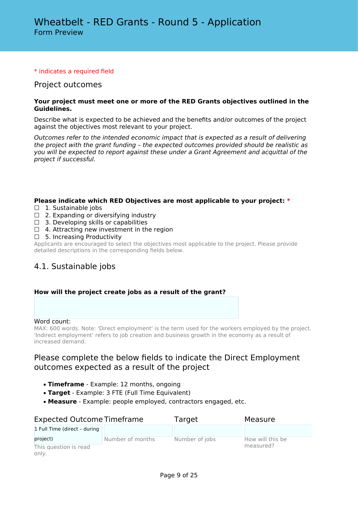### \* indicates a required field

### Project outcomes

### **Your project must meet one or more of the RED Grants objectives outlined in the Guidelines.**

Describe what is expected to be achieved and the benefits and/or outcomes of the project against the objectives most relevant to your project.

*Outcomes refer to the intended economic impact that is expected as a result of delivering the project with the grant funding – the expected outcomes provided should be realistic as you will be expected to report against these under a Grant Agreement and acquittal of the project if successful.*

### **Please indicate which RED Objectives are most applicable to your project: \***

- □ 1. Sustainable jobs
- $\Box$  2. Expanding or diversifying industry
- $\Box$  3. Developing skills or capabilities
- $\Box$  4. Attracting new investment in the region
- □ 5. Increasing Productivity

Applicants are encouraged to select the objectives most applicable to the project. Please provide detailed descriptions in the corresponding fields below.

# 4.1. Sustainable jobs

### **How will the project create jobs as a result of the grant?**

### Word count:

MAX: 600 words. Note: 'Direct employment' is the term used for the workers employed by the project. 'Indirect employment' refers to job creation and business growth in the economy as a result of increased demand.

# Please complete the below fields to indicate the Direct Employment outcomes expected as a result of the project

- **Timeframe** Example: 12 months, ongoing
- **Target** Example: 3 FTE (Full Time Equivalent)
- **Measure** Example: people employed, contractors engaged, etc.

| <b>Expected Outcome Timeframe</b> |                  | Target         | Measure          |
|-----------------------------------|------------------|----------------|------------------|
| 1 Full Time (direct - during      |                  |                |                  |
| project)                          | Number of months | Number of jobs | How will this be |
| This question is read<br>only.    |                  |                | measured?        |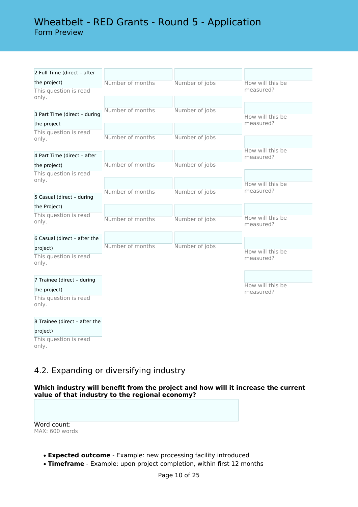# Wheatbelt - RED Grants - Round 5 - Application Form Preview

| 2 Full Time (direct - after    |                  |                |                               |
|--------------------------------|------------------|----------------|-------------------------------|
| the project)                   | Number of months | Number of jobs | How will this be              |
| This question is read          |                  |                | measured?                     |
| only.                          |                  |                |                               |
|                                | Number of months | Number of jobs |                               |
| 3 Part Time (direct - during   |                  |                | How will this be              |
| the project                    |                  |                | measured?                     |
| This question is read<br>only. | Number of months | Number of jobs |                               |
|                                |                  |                |                               |
| 4 Part Time (direct - after    |                  |                | How will this be<br>measured? |
| the project)                   | Number of months | Number of jobs |                               |
| This question is read          |                  |                |                               |
| only.                          |                  |                | How will this be              |
|                                | Number of months | Number of jobs | measured?                     |
| 5 Casual (direct - during      |                  |                |                               |
| the Project)                   |                  |                |                               |
| This question is read          | Number of months | Number of jobs | How will this be              |
| only.                          |                  |                | measured?                     |
|                                |                  |                |                               |
| 6 Casual (direct - after the   | Number of months | Number of jobs |                               |
| project)                       |                  |                | How will this be              |
| This question is read<br>only. |                  |                | measured?                     |
|                                |                  |                |                               |
| 7 Trainee (direct - during     |                  |                |                               |
| the project)                   |                  |                | How will this be<br>measured? |
| This question is read          |                  |                |                               |
| only.                          |                  |                |                               |
|                                |                  |                |                               |
| 8 Trainee (direct - after the  |                  |                |                               |
| project)                       |                  |                |                               |
| This question is read          |                  |                |                               |

# 4.2. Expanding or diversifying industry

**Which industry will benefit from the project and how will it increase the current value of that industry to the regional economy?**

Word count: MAX: 600 words

only.

- **Expected outcome** Example: new processing facility introduced
- **Timeframe** Example: upon project completion, within first 12 months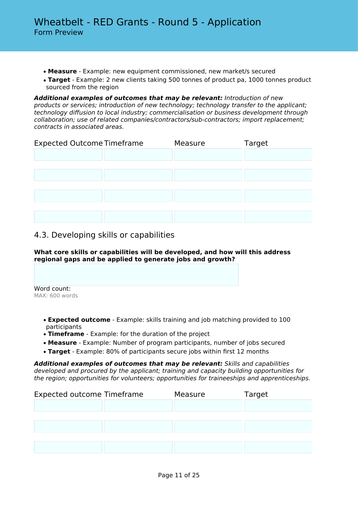- **Measure** Example: new equipment commissioned, new market/s secured
- **Target** Example: 2 new clients taking 500 tonnes of product pa, 1000 tonnes product sourced from the region

*Additional examples of outcomes that may be relevant: Introduction of new products or services; introduction of new technology; technology transfer to the applicant; technology diffusion to local industry; commercialisation or business development through collaboration; use of related companies/contractors/sub-contractors; import replacement; contracts in associated areas.*

| <b>Expected Outcome Timeframe</b> | Measure | Target |
|-----------------------------------|---------|--------|
|                                   |         |        |
|                                   |         |        |
|                                   |         |        |
|                                   |         |        |
|                                   |         |        |
|                                   |         |        |
|                                   |         |        |

# 4.3. Developing skills or capabilities

### **What core skills or capabilities will be developed, and how will this address regional gaps and be applied to generate jobs and growth?**

Word count: MAX: 600 words

- **Expected outcome** Example: skills training and job matching provided to 100 participants
- **Timeframe** Example: for the duration of the project
- **Measure** Example: Number of program participants, number of jobs secured
- **Target** Example: 80% of participants secure jobs within first 12 months

*Additional examples of outcomes that may be relevant: Skills and capabilities developed and procured by the applicant; training and capacity building opportunities for the region; opportunities for volunteers; opportunities for traineeships and apprenticeships.*

| <b>Expected outcome Timeframe</b> | Measure | Target |
|-----------------------------------|---------|--------|
|                                   |         |        |
|                                   |         |        |
|                                   |         |        |
|                                   |         |        |
|                                   |         |        |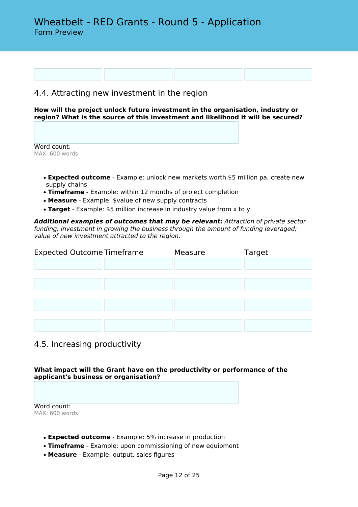# 4.4. Attracting new investment in the region

**How will the project unlock future investment in the organisation, industry or region? What is the source of this investment and likelihood it will be secured?**

Word count: MAX: 600 words

- **Expected outcome** Example: unlock new markets worth \$5 million pa, create new supply chains
- **Timeframe** Example: within 12 months of project completion
- **Measure** Example: \$value of new supply contracts
- **Target** Example: \$5 million increase in industry value from x to y

*Additional examples of outcomes that may be relevant: Attraction of private sector funding; investment in growing the business through the amount of funding leveraged; value of new investment attracted to the region.*

| <b>Expected Outcome Timeframe</b> | Measure | Target |
|-----------------------------------|---------|--------|
|                                   |         |        |
|                                   |         |        |
|                                   |         |        |
|                                   |         |        |
|                                   |         |        |
|                                   |         |        |
|                                   |         |        |

### 4.5. Increasing productivity

**What impact will the Grant have on the productivity or performance of the applicant's business or organisation?**

Word count: MAX: 600 words

- **Expected outcome** Example: 5% increase in production
- **Timeframe** Example: upon commissioning of new equipment
- **Measure** Example: output, sales figures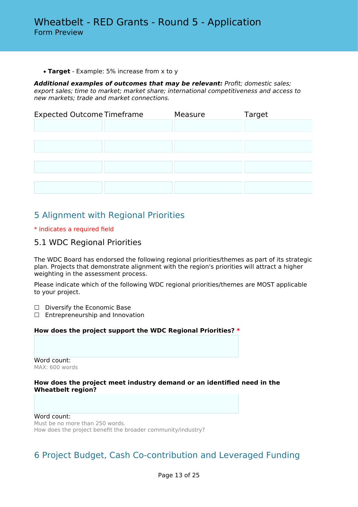• **Target** - Example: 5% increase from x to y

*Additional examples of outcomes that may be relevant: Profit; domestic sales; export sales; time to market; market share; international competitiveness and access to new markets; trade and market connections.*

| <b>Expected Outcome Timeframe</b> | Measure | Target |
|-----------------------------------|---------|--------|
|                                   |         |        |
|                                   |         |        |
|                                   |         |        |
|                                   |         |        |
|                                   |         |        |
|                                   |         |        |

# 5 Alignment with Regional Priorities

### \* indicates a required field

### 5.1 WDC Regional Priorities

The WDC Board has endorsed the following regional priorities/themes as part of its strategic plan. Projects that demonstrate alignment with the region's priorities will attract a higher weighting in the assessment process.

Please indicate which of the following WDC regional priorities/themes are MOST applicable to your project.

- □ Diversify the Economic Base
- □ Entrepreneurship and Innovation

### **How does the project support the WDC Regional Priorities? \***

Word count: MAX: 600 words

### **How does the project meet industry demand or an identified need in the Wheatbelt region?**

Word count: Must be no more than 250 words. How does the project benefit the broader community/industry?

# 6 Project Budget, Cash Co-contribution and Leveraged Funding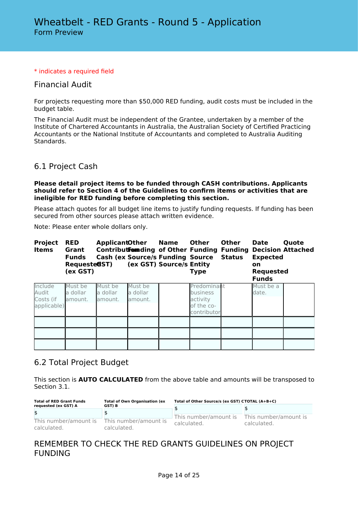### \* indicates a required field

### Financial Audit

For projects requesting more than \$50,000 RED funding, audit costs must be included in the budget table.

The Financial Audit must be independent of the Grantee, undertaken by a member of the Institute of Chartered Accountants in Australia, the Australian Society of Certified Practicing Accountants or the National Institute of Accountants and completed to Australia Auditing Standards.

### 6.1 Project Cash

### **Please detail project items to be funded through CASH contributions. Applicants should refer to Section 4 of the Guidelines to confirm items or activities that are ineligible for RED funding before completing this section.**

Please attach quotes for all budget line items to justify funding requests. If funding has been secured from other sources please attach written evidence.

Note: Please enter whole dollars only.

| <b>Project</b><br><b>Items</b>               | <b>RED</b><br>Grant<br><b>Funds</b><br>Requested ST)<br>(ex GST) | <b>ApplicantOther</b>           |                                | <b>Name</b><br><b>Cash (ex Source/s Funding Source</b><br>(ex GST) Source/s Entity | Other<br><b>Type</b>                                                    | <b>Other</b><br><b>Status</b> | <b>Date</b><br><b>Expected</b><br><b>on</b><br><b>Requested</b><br><b>Funds</b> | Quote<br><b>Contributfommding of Other Funding Funding Decision Attached</b> |
|----------------------------------------------|------------------------------------------------------------------|---------------------------------|--------------------------------|------------------------------------------------------------------------------------|-------------------------------------------------------------------------|-------------------------------|---------------------------------------------------------------------------------|------------------------------------------------------------------------------|
| Include<br>Audit<br>Costs (if<br>applicable) | Must be<br>a dollar<br>lamount.                                  | Must be<br>la dollar<br>amount. | Must be<br>a dollar<br>amount. |                                                                                    | Predominant<br><b>business</b><br>activity<br>of the co-<br>contributor |                               | Must be a<br>date.                                                              |                                                                              |
|                                              |                                                                  |                                 |                                |                                                                                    |                                                                         |                               |                                                                                 |                                                                              |
|                                              |                                                                  |                                 |                                |                                                                                    |                                                                         |                               |                                                                                 |                                                                              |
|                                              |                                                                  |                                 |                                |                                                                                    |                                                                         |                               |                                                                                 |                                                                              |

### 6.2 Total Project Budget

This section is **AUTO CALCULATED** from the above table and amounts will be transposed to Section 3.1.

| <b>Total of RED Grant Funds</b><br><b>Total of Own Organisation (ex</b> | Total of Other Source/s (ex GST) CTOTAL (A+B+C) |                       |                                      |
|-------------------------------------------------------------------------|-------------------------------------------------|-----------------------|--------------------------------------|
| requested (ex GST) A                                                    | GST) B                                          |                       |                                      |
| \$                                                                      |                                                 | This number/amount is | This number/amount is<br>calculated. |
| This number/amount is<br>calculated.                                    | This number/amount is<br>calculated.            | calculated.           |                                      |

# REMEMBER TO CHECK THE RED GRANTS GUIDELINES ON PROJECT FUNDING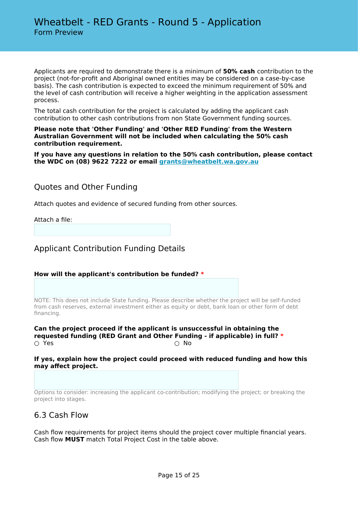Applicants are required to demonstrate there is a minimum of **50% cash** contribution to the project (not-for-profit and Aboriginal owned entities may be considered on a case-by-case basis). The cash contribution is expected to exceed the minimum requirement of 50% and the level of cash contribution will receive a higher weighting in the application assessment process.

The total cash contribution for the project is calculated by adding the applicant cash contribution to other cash contributions from non State Government funding sources.

**Please note that 'Other Funding' and 'Other RED Funding' from the Western Australian Government will not be included when calculating the 50% cash contribution requirement.**

**If you have any questions in relation to the 50% cash contribution, please contact the WDC on (08) 9622 7222 or email [grants@wheatbelt.wa.gov.au](mailto:admin@gsdc.wa.gov.au)**

Quotes and Other Funding

Attach quotes and evidence of secured funding from other sources.

Attach a file:

Applicant Contribution Funding Details

**How will the applicant's contribution be funded? \***

NOTE: This does not include State funding. Please describe whether the project will be self-funded from cash reserves, external investment either as equity or debt, bank loan or other form of debt financing.

**Can the project proceed if the applicant is unsuccessful in obtaining the requested funding (RED Grant and Other Funding - if applicable) in full? \***  $\bigcirc$  Yes  $\bigcirc$  No

**If yes, explain how the project could proceed with reduced funding and how this may affect project.**

Options to consider: increasing the applicant co-contribution; modifying the project; or breaking the project into stages.

### 6.3 Cash Flow

Cash flow requirements for project items should the project cover multiple financial years. Cash flow **MUST** match Total Project Cost in the table above.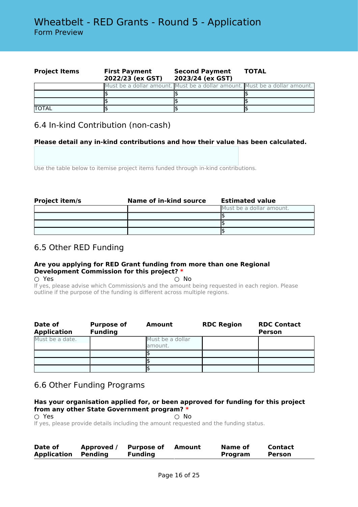| <b>Project Items</b> | <b>Second Payment</b><br><b>First Payment</b><br>2022/23 (ex GST)<br>2023/24 (ex GST) |                                                                            | <b>TOTAL</b> |  |
|----------------------|---------------------------------------------------------------------------------------|----------------------------------------------------------------------------|--------------|--|
|                      |                                                                                       | Must be a dollar amount. Must be a dollar amount. Must be a dollar amount. |              |  |
|                      |                                                                                       |                                                                            |              |  |
|                      |                                                                                       |                                                                            |              |  |
| <b>TOTAL</b>         |                                                                                       |                                                                            |              |  |

# 6.4 In-kind Contribution (non-cash)

### **Please detail any in-kind contributions and how their value has been calculated.**

Use the table below to itemise project items funded through in-kind contributions.

| <b>Project item/s</b> | Name of in-kind source | <b>Estimated value</b>   |
|-----------------------|------------------------|--------------------------|
|                       |                        | Must be a dollar amount. |
|                       |                        |                          |
|                       |                        |                          |
|                       |                        |                          |

# 6.5 Other RED Funding

### **Are you applying for RED Grant funding from more than one Regional Development Commission for this project? \***

 $\bigcirc$  Yes  $\bigcirc$  No If yes, please advise which Commission/s and the amount being requested in each region. Please outline if the purpose of the funding is different across multiple regions.

| Date of<br><b>Application</b> | <b>Purpose of</b><br><b>Funding</b> | Amount                      | <b>RDC Region</b> | <b>RDC Contact</b><br><b>Person</b> |
|-------------------------------|-------------------------------------|-----------------------------|-------------------|-------------------------------------|
| Must be a date.               |                                     | Must be a dollar<br>amount. |                   |                                     |
|                               |                                     |                             |                   |                                     |
|                               |                                     |                             |                   |                                     |
|                               |                                     |                             |                   |                                     |

# 6.6 Other Funding Programs

### **Has your organisation applied for, or been approved for funding for this project from any other State Government program? \***

○ Yes ○ No

If yes, please provide details including the amount requested and the funding status.

| Date of            | Approved / | <b>Purpose of</b> | Amount | Name of | Contact |  |
|--------------------|------------|-------------------|--------|---------|---------|--|
| <b>Application</b> | Pendina    | <b>Funding</b>    |        | Program | Person  |  |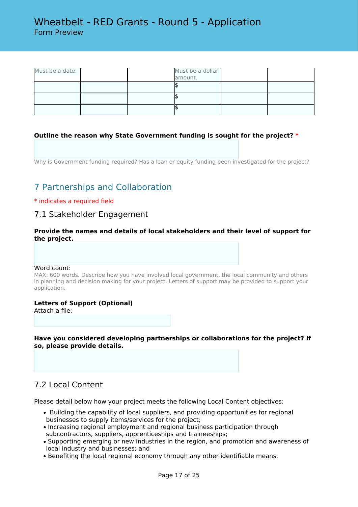| Must be a date. |  | Must be a dollar<br>amount. |  |
|-----------------|--|-----------------------------|--|
|                 |  |                             |  |
|                 |  |                             |  |
|                 |  |                             |  |

### **Outline the reason why State Government funding is sought for the project? \***

Why is Government funding required? Has a loan or equity funding been investigated for the project?

# 7 Partnerships and Collaboration

### \* indicates a required field

### 7.1 Stakeholder Engagement

**Provide the names and details of local stakeholders and their level of support for the project.**

#### Word count:

MAX: 600 words. Describe how you have involved local government, the local community and others in planning and decision making for your project. Letters of support may be provided to support your application.

### **Letters of Support (Optional)**

Attach a file:

**Have you considered developing partnerships or collaborations for the project? If so, please provide details.**

# 7.2 Local Content

Please detail below how your project meets the following Local Content objectives:

- Building the capability of local suppliers, and providing opportunities for regional businesses to supply items/services for the project;
- Increasing regional employment and regional business participation through subcontractors, suppliers, apprenticeships and traineeships;
- Supporting emerging or new industries in the region, and promotion and awareness of local industry and businesses; and
- Benefiting the local regional economy through any other identifiable means.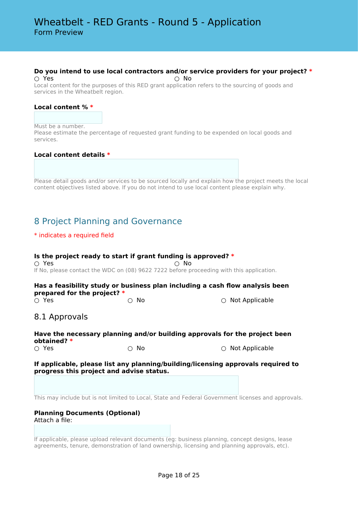### **Do you intend to use local contractors and/or service providers for your project? \***

 $\bigcirc$  Yes  $\bigcirc$  No Local content for the purposes of this RED grant application refers to the sourcing of goods and services in the Wheatbelt region.

#### **Local content % \***

Must be a number.

Please estimate the percentage of requested grant funding to be expended on local goods and services.

#### **Local content details \***

Please detail goods and/or services to be sourced locally and explain how the project meets the local content objectives listed above. If you do not intend to use local content please explain why.

# 8 Project Planning and Governance

### \* indicates a required field

### **Is the project ready to start if grant funding is approved? \***

 $\bigcirc$  Yes  $\bigcirc$  No If No, please contact the WDC on (08) 9622 7222 before proceeding with this application.

**Has a feasibility study or business plan including a cash flow analysis been prepared for the project? \***

○ Yes ○ No ○ Not Applicable

### 8.1 Approvals

### **Have the necessary planning and/or building approvals for the project been obtained? \***

 $\bigcirc$  Yes  $\bigcirc$   $\bigcirc$  No  $\bigcirc$   $\bigcirc$  Not Applicable

### **If applicable, please list any planning/building/licensing approvals required to progress this project and advise status.**

This may include but is not limited to Local, State and Federal Government licenses and approvals.

### **Planning Documents (Optional)**

Attach a file:

If applicable, please upload relevant documents (eg: business planning, concept designs, lease agreements, tenure, demonstration of land ownership, licensing and planning approvals, etc).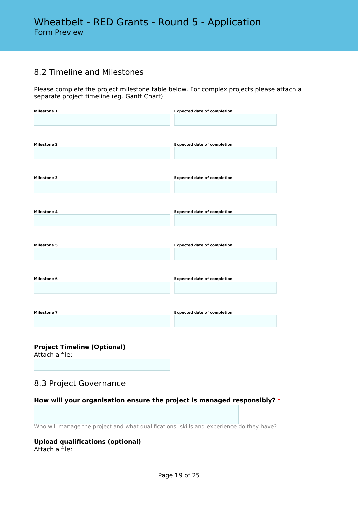# 8.2 Timeline and Milestones

Please complete the project milestone table below. For complex projects please attach a separate project timeline (eg. Gantt Chart)

| <b>Milestone 1</b> | <b>Expected date of completion</b> |
|--------------------|------------------------------------|
|                    |                                    |
| <b>Milestone 2</b> | <b>Expected date of completion</b> |
| <b>Milestone 3</b> |                                    |
|                    | <b>Expected date of completion</b> |
| <b>Milestone 4</b> | <b>Expected date of completion</b> |
|                    |                                    |
| <b>Milestone 5</b> | <b>Expected date of completion</b> |
|                    |                                    |
| <b>Milestone 6</b> | <b>Expected date of completion</b> |
|                    |                                    |
| <b>Milestone 7</b> | <b>Expected date of completion</b> |
|                    |                                    |

**Project Timeline (Optional)**

Attach a file:

# 8.3 Project Governance

**How will your organisation ensure the project is managed responsibly? \***

Who will manage the project and what qualifications, skills and experience do they have?

#### **Upload qualifications (optional)** Attach a file: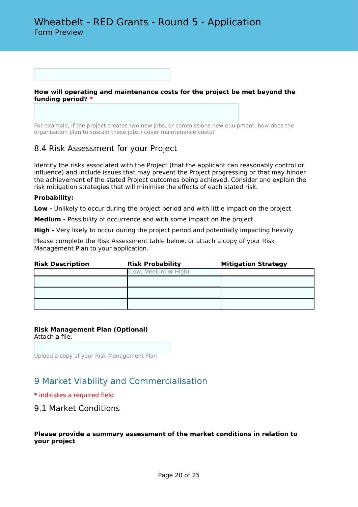**How will operating and maintenance costs for the project be met beyond the funding period? \***

For example, if the project creates two new jobs, or commissions new equipment, how does the organisation plan to sustain these jobs / cover maintenance costs?

### 8.4 Risk Assessment for your Project

Identify the risks associated with the Project (that the applicant can reasonably control or influence) and include issues that may prevent the Project progressing or that may hinder the achievement of the stated Project outcomes being achieved. Consider and explain the risk mitigation strategies that will minimise the effects of each stated risk.

### **Probability:**

**Low -** Unlikely to occur during the project period and with little impact on the project

**Medium -** Possibility of occurrence and with some impact on the project

**High -** Very likely to occur during the project period and potentially impacting heavily

Please complete the Risk Assessment table below, or attach a copy of your Risk Management Plan to your application.

| <b>Risk Description</b> | <b>Risk Probability</b> | <b>Mitigation Strategy</b> |
|-------------------------|-------------------------|----------------------------|
|                         | (Low, Medium or High)   |                            |
|                         |                         |                            |
|                         |                         |                            |
|                         |                         |                            |

### **Risk Management Plan (Optional)**

Attach a file:

Upload a copy of your Risk Management Plan

# 9 Market Viability and Commercialisation

### \* indicates a required field

9.1 Market Conditions

### **Please provide a summary assessment of the market conditions in relation to your project**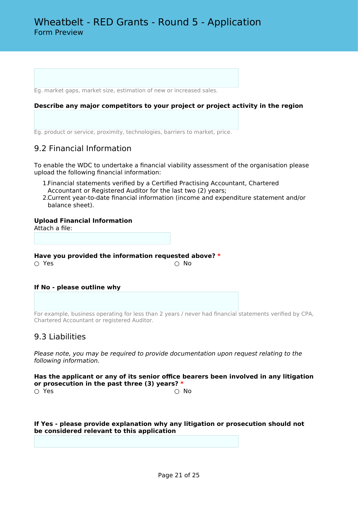Eg. market gaps, market size, estimation of new or increased sales.

#### **Describe any major competitors to your project or project activity in the region**

Eg. product or service, proximity, technologies, barriers to market, price.

# 9.2 Financial Information

To enable the WDC to undertake a financial viability assessment of the organisation please upload the following financial information:

- 1.Financial statements verified by a Certified Practising Accountant, Chartered Accountant or Registered Auditor for the last two (2) years;
- 2.Current year-to-date financial information (income and expenditure statement and/or balance sheet).

#### **Upload Financial Information**

Attach a file:

**Have you provided the information requested above? \***  $\bigcirc$  Yes  $\bigcirc$  No

#### **If No - please outline why**

For example, business operating for less than 2 years / never had financial statements verified by CPA, Chartered Accountant or registered Auditor.

### 9.3 Liabilities

*Please note, you may be required to provide documentation upon request relating to the following information.*

**Has the applicant or any of its senior office bearers been involved in any litigation or prosecution in the past three (3) years? \***  $\bigcirc$  Yes  $\bigcirc$  No

**If Yes - please provide explanation why any litigation or prosecution should not be considered relevant to this application**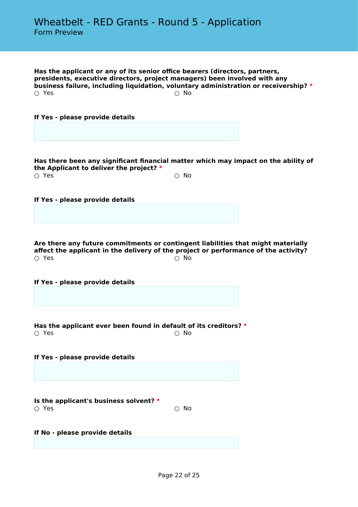**Has the applicant or any of its senior office bearers (directors, partners, presidents, executive directors, project managers) been involved with any business failure, including liquidation, voluntary administration or receivership? \***  $\bigcirc$  Yes  $\bigcirc$  No

**If Yes - please provide details**

**Has there been any significant financial matter which may impact on the ability of the Applicant to deliver the project? \***  $\bigcirc$  Yes  $\bigcirc$  No

**If Yes - please provide details**

**Are there any future commitments or contingent liabilities that might materially affect the applicant in the delivery of the project or performance of the activity?**  $\bigcirc$  Yes  $\bigcirc$  No

**If Yes - please provide details**

**Has the applicant ever been found in default of its creditors? \***  $\bigcirc$  Yes  $\bigcirc$  No

**If Yes - please provide details**

**Is the applicant's business solvent? \***  $\bigcirc$  Yes  $\bigcirc$  No

**If No - please provide details**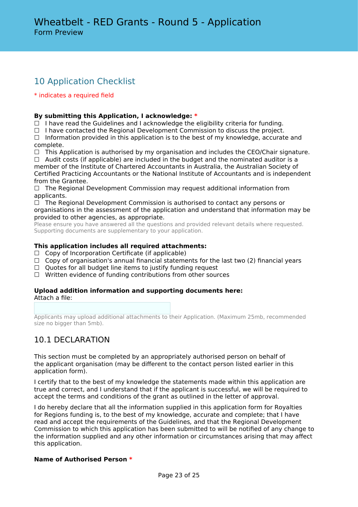# 10 Application Checklist

### \* indicates a required field

### **By submitting this Application, I acknowledge: \***

 $\Box$  I have read the Guidelines and I acknowledge the eligibility criteria for funding.

☐ I have contacted the Regional Development Commission to discuss the project.

 $\Box$  Information provided in this application is to the best of my knowledge, accurate and complete.

☐ This Application is authorised by my organisation and includes the CEO/Chair signature.

 $\Box$  Audit costs (if applicable) are included in the budget and the nominated auditor is a member of the Institute of Chartered Accountants in Australia, the Australian Society of Certified Practicing Accountants or the National Institute of Accountants and is independent from the Grantee.

 $\Box$  The Regional Development Commission may request additional information from applicants.

 $\Box$  The Regional Development Commission is authorised to contact any persons or organisations in the assessment of the application and understand that information may be provided to other agencies, as appropriate.

Please ensure you have answered all the questions and provided relevant details where requested. Supporting documents are supplementary to your application.

### **This application includes all required attachments:**

- $\Box$  Copy of Incorporation Certificate (if applicable)
- $\Box$  Copy of organisation's annual financial statements for the last two (2) financial years
- $\Box$  Quotes for all budget line items to justify funding request
- ☐ Written evidence of funding contributions from other sources

### **Upload addition information and supporting documents here:** Attach a file:

Applicants may upload additional attachments to their Application. (Maximum 25mb, recommended size no bigger than 5mb).

# 10.1 DECLARATION

This section must be completed by an appropriately authorised person on behalf of the applicant organisation (may be different to the contact person listed earlier in this application form).

I certify that to the best of my knowledge the statements made within this application are true and correct, and I understand that if the applicant is successful, we will be required to accept the terms and conditions of the grant as outlined in the letter of approval.

I do hereby declare that all the information supplied in this application form for Royalties for Regions funding is, to the best of my knowledge, accurate and complete; that I have read and accept the requirements of the Guidelines*,* and that the Regional Development Commission to which this application has been submitted to will be notified of any change to the information supplied and any other information or circumstances arising that may affect this application.

### **Name of Authorised Person \***